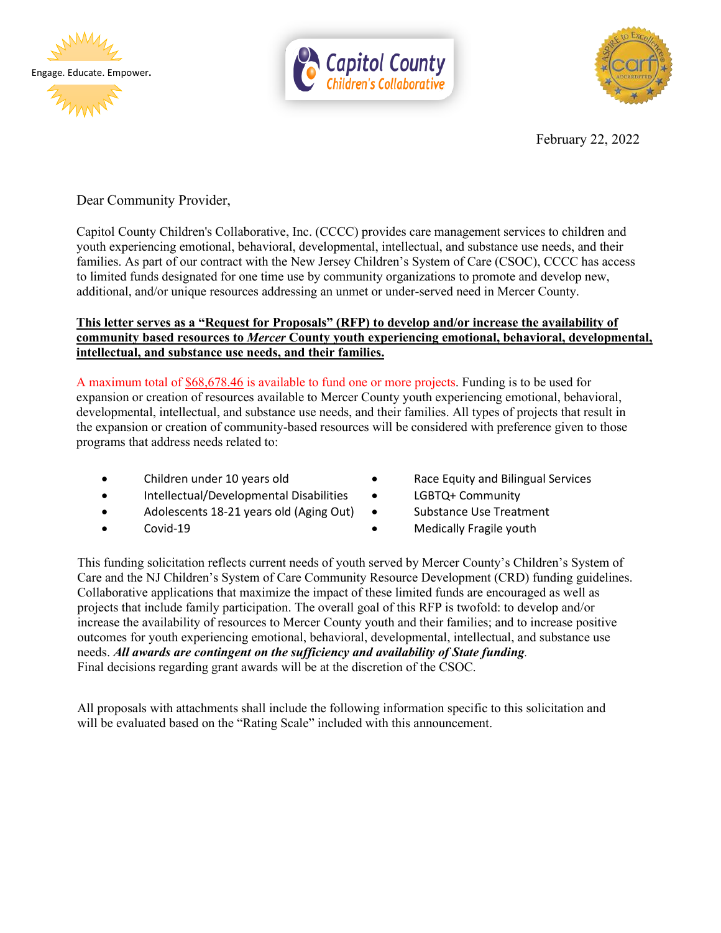





February 22, 2022

Dear Community Provider,

Capitol County Children's Collaborative, Inc. (CCCC) provides care management services to children and youth experiencing emotional, behavioral, developmental, intellectual, and substance use needs, and their families. As part of our contract with the New Jersey Children's System of Care (CSOC), CCCC has access to limited funds designated for one time use by community organizations to promote and develop new, additional, and/or unique resources addressing an unmet or under-served need in Mercer County.

## **This letter serves as a "Request for Proposals" (RFP) to develop and/or increase the availability of community based resources to** *Mercer* **County youth experiencing emotional, behavioral, developmental, intellectual, and substance use needs, and their families.**

A maximum total of \$68,678.46 is available to fund one or more projects. Funding is to be used for expansion or creation of resources available to Mercer County youth experiencing emotional, behavioral, developmental, intellectual, and substance use needs, and their families. All types of projects that result in the expansion or creation of community-based resources will be considered with preference given to those programs that address needs related to:

- 
- Intellectual/Developmental Disabilities LGBTQ+ Community
- Adolescents 18-21 years old (Aging Out) Substance Use Treatment
- 
- Children under 10 years old Race Equity and Bilingual Services
	-
	-
- Covid-19 Medically Fragile youth

This funding solicitation reflects current needs of youth served by Mercer County's Children's System of Care and the NJ Children's System of Care Community Resource Development (CRD) funding guidelines. Collaborative applications that maximize the impact of these limited funds are encouraged as well as projects that include family participation. The overall goal of this RFP is twofold: to develop and/or increase the availability of resources to Mercer County youth and their families; and to increase positive outcomes for youth experiencing emotional, behavioral, developmental, intellectual, and substance use needs. *All awards are contingent on the sufficiency and availability of State funding.* Final decisions regarding grant awards will be at the discretion of the CSOC.

All proposals with attachments shall include the following information specific to this solicitation and will be evaluated based on the "Rating Scale" included with this announcement.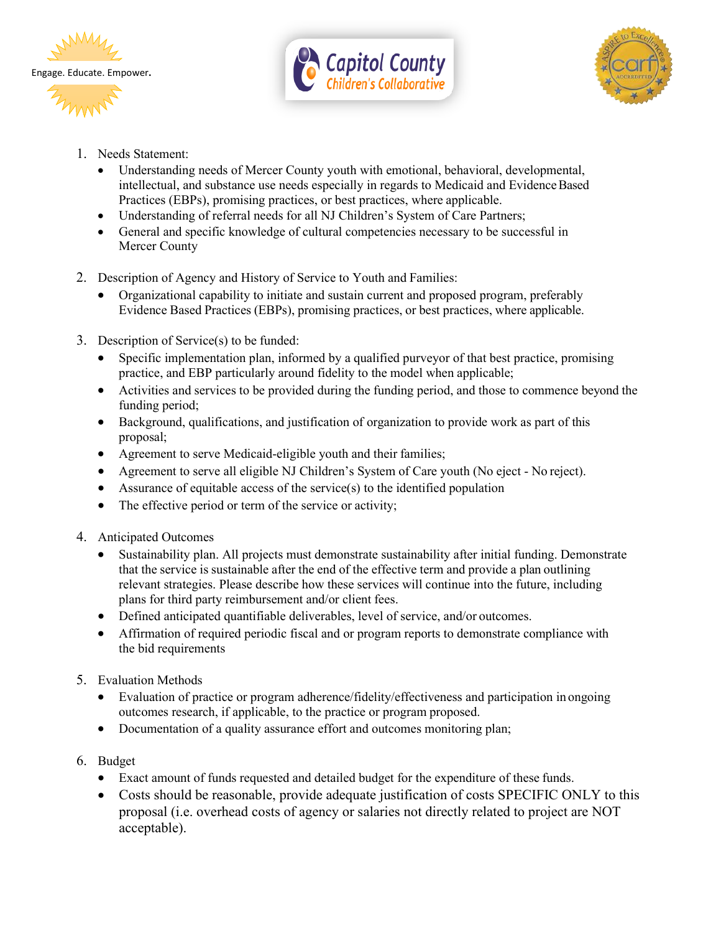





- 1. Needs Statement:
	- Understanding needs of Mercer County youth with emotional, behavioral, developmental, intellectual, and substance use needs especially in regards to Medicaid and EvidenceBased Practices (EBPs), promising practices, or best practices, where applicable.
	- Understanding of referral needs for all NJ Children's System of Care Partners;
	- General and specific knowledge of cultural competencies necessary to be successful in Mercer County
- 2. Description of Agency and History of Service to Youth and Families:
	- Organizational capability to initiate and sustain current and proposed program, preferably Evidence Based Practices (EBPs), promising practices, or best practices, where applicable.
- 3. Description of Service(s) to be funded:
	- Specific implementation plan, informed by a qualified purveyor of that best practice, promising practice, and EBP particularly around fidelity to the model when applicable;
	- Activities and services to be provided during the funding period, and those to commence beyond the funding period;
	- Background, qualifications, and justification of organization to provide work as part of this proposal;
	- Agreement to serve Medicaid-eligible youth and their families;
	- Agreement to serve all eligible NJ Children's System of Care youth (No eject No reject).
	- Assurance of equitable access of the service(s) to the identified population
	- The effective period or term of the service or activity;
- 4. Anticipated Outcomes
	- Sustainability plan. All projects must demonstrate sustainability after initial funding. Demonstrate that the service is sustainable after the end of the effective term and provide a plan outlining relevant strategies. Please describe how these services will continue into the future, including plans for third party reimbursement and/or client fees.
	- Defined anticipated quantifiable deliverables, level of service, and/or outcomes.
	- Affirmation of required periodic fiscal and or program reports to demonstrate compliance with the bid requirements
- 5. Evaluation Methods
	- Evaluation of practice or program adherence/fidelity/effectiveness and participation in ongoing outcomes research, if applicable, to the practice or program proposed.
	- Documentation of a quality assurance effort and outcomes monitoring plan;
- 6. Budget
	- Exact amount of funds requested and detailed budget for the expenditure of these funds.
	- Costs should be reasonable, provide adequate justification of costs SPECIFIC ONLY to this proposal (i.e. overhead costs of agency or salaries not directly related to project are NOT acceptable).